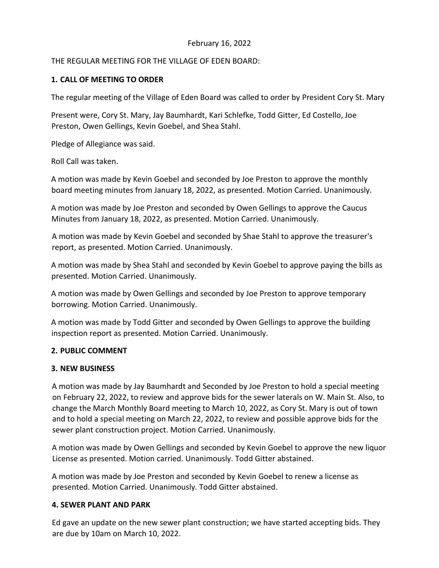# February 16, 2022

# THE REGULAR MEETING FOR THE VILLAGE OF EDEN BOARD:

# **1. CALL OF MEETING TO ORDER**

The regular meeting of the Village of Eden Board was called to order by President Cory St. Mary

Present were, Cory St. Mary, Jay Baumhardt, Kari Schlefke, Todd Gitter, Ed Costello, Joe Preston, Owen Gellings, Kevin Goebel, and Shea Stahl.

Pledge of Allegiance was said.

Roll Call was taken.

A motion was made by Kevin Goebel and seconded by Joe Preston to approve the monthly board meeting minutes from January 18, 2022, as presented. Motion Carried. Unanimously.

A motion was made by Joe Preston and seconded by Owen Gellings to approve the Caucus Minutes from January 18, 2022, as presented. Motion Carried. Unanimously.

A motion was made by Kevin Goebel and seconded by Shae Stahl to approve the treasurer's report, as presented. Motion Carried. Unanimously.

A motion was made by Shea Stahl and seconded by Kevin Goebel to approve paying the bills as presented. Motion Carried. Unanimously.

A motion was made by Owen Gellings and seconded by Joe Preston to approve temporary borrowing. Motion Carried. Unanimously.

A motion was made by Todd Gitter and seconded by Owen Gellings to approve the building inspection report as presented. Motion Carried. Unanimously.

# **2. PUBLIC COMMENT**

#### **3. NEW BUSINESS**

A motion was made by Jay Baumhardt and Seconded by Joe Preston to hold a special meeting on February 22, 2022, to review and approve bids for the sewer laterals on W. Main St. Also, to change the March Monthly Board meeting to March 10, 2022, as Cory St. Mary is out of town and to hold a special meeting on March 22, 2022, to review and possible approve bids for the sewer plant construction project. Motion Carried. Unanimously.

A motion was made by Owen Gellings and seconded by Kevin Goebel to approve the new liquor License as presented. Motion carried. Unanimously. Todd Gitter abstained.

A motion was made by Joe Preston and seconded by Kevin Goebel to renew a license as presented. Motion Carried. Unanimously. Todd Gitter abstained.

#### **4. SEWER PLANT AND PARK**

Ed gave an update on the new sewer plant construction; we have started accepting bids. They are due by 10am on March 10, 2022.